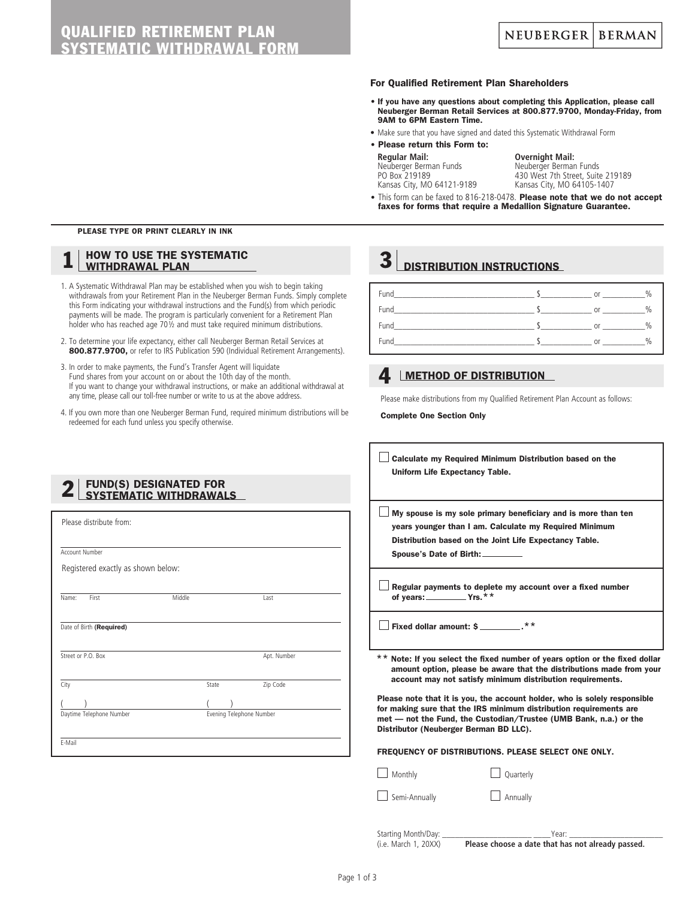#### For Qualified Retirement Plan Shareholders

- If you have any questions about completing this Application, please call Neuberger Berman Retail Services at 800.877.9700, Monday-Friday, from 9AM to 6PM Eastern Time.
- Make sure that you have signed and dated this Systematic Withdrawal Form
- Please return this Form to:

### **Regular Mail: Overnight Mail:** Neuberger Berman Funds Neuberger Berman Funds

PO Box 219189 430 West 7th Street, Suite 219189<br>
Kansas City, MO 64121-9189 Kansas City, MO 64105-1407 Kansas City, MO 64105-1407

• This form can be faxed to 816-218-0478. Please note that we do not accept faxes for forms that require a Medallion Signature Guarantee.

### PLEASE TYPE OR PRINT CLEARLY IN INK

### **HOW TO USE THE SYSTEMATIC** WITHDRAWAL PLAN

- 1. A Systematic Withdrawal Plan may be established when you wish to begin taking withdrawals from your Retirement Plan in the Neuberger Berman Funds. Simply complete this Form indicating your withdrawal instructions and the Fund(s) from which periodic payments will be made. The program is particularly convenient for a Retirement Plan holder who has reached age 70½ and must take required minimum distributions.
- 2. To determine your life expectancy, either call Neuberger Berman Retail Services at 800.877.9700, or refer to IRS Publication 590 (Individual Retirement Arrangements).
- 3. In order to make payments, the Fund's Transfer Agent will liquidate Fund shares from your account on or about the 10th day of the month. If you want to change your withdrawal instructions, or make an additional withdrawal at any time, please call our toll-free number or write to us at the above address.
- 4. If you own more than one Neuberger Berman Fund, required minimum distributions will be redeemed for each fund unless you specify otherwise.

## $3$  DISTRIBUTION INSTRUCTIONS

| <b>Fund</b> | <sub>or</sub> | $\%$ |
|-------------|---------------|------|
| Fund        | Oľ            | %    |
| Fund        | <b>or</b>     | %    |
| Fund        | $\cap$ r      | $\%$ |

### **4** IMETHOD OF DISTRIBUTION

Please make distributions from my Qualified Retirement Plan Account as follows:

Complete One Section Only

Calculate my Required Minimum Distribution based on the Uniform Life Expectancy Table.

 $\Box$  My spouse is my sole primary beneficiary and is more than ten years younger than I am. Calculate my Required Minimum Distribution based on the Joint Life Expectancy Table. Spouse's Date of Birth:

 $\Box$  Regular payments to deplete my account over a fixed number of vears:  $\sqrt{Y}$ 

 $\Box$  Fixed dollar amount: \$ $\Box$ 

\*\* Note: If you select the fixed number of years option or the fixed dollar amount option, please be aware that the distributions made from your account may not satisfy minimum distribution requirements.

Please note that it is you, the account holder, who is solely responsible for making sure that the IRS minimum distribution requirements are met — not the Fund, the Custodian/Trustee (UMB Bank, n.a.) or the Distributor (Neuberger Berman BD LLC).

#### FREQUENCY OF DISTRIBUTIONS. PLEASE SELECT ONE ONLY.

Monthly Quarterly

Semi-Annually **Annually** Annually

Starting Month/Day: The control of the Starting Month/Day: (i.e. March 1, 20XX) **Please choose a date that has not already passed.**

# Please distribute from: Account Number Registered exactly as shown below: 2 | FUND(S) DESIGNATED FOR<br>SYSTEMATIC WITHDRAWALS

 $($  ) ( ) **Daytime Telephone Number Community Community** Evening Telephone Number

Name: First Last

Date of Birth (Required)

**Street or P.O. Box** Apt. Number

City **State** Zip Code

E-Mail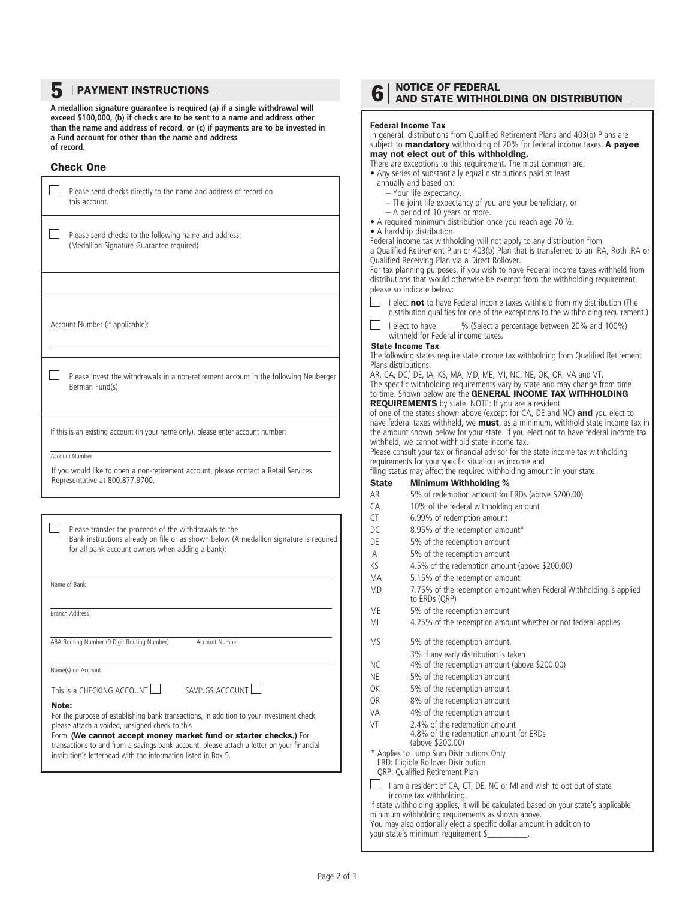### 5 LPAYMENT INSTRUCTIONS

**A medallion signature guarantee is required (a) if a single withdrawal will exceed \$100,000, (b) if checks are to be sent to a name and address other than the name and address of record, or (c) if payments are to be invested in a Fund account for other than the name and address of record.**

### Check One

| Please send checks directly to the name and address of record on<br>this account.                                                                                                                                                                                                                                                                                                       |
|-----------------------------------------------------------------------------------------------------------------------------------------------------------------------------------------------------------------------------------------------------------------------------------------------------------------------------------------------------------------------------------------|
| Please send checks to the following name and address:<br>(Medallion Signature Guarantee required)                                                                                                                                                                                                                                                                                       |
|                                                                                                                                                                                                                                                                                                                                                                                         |
| Account Number (if applicable):                                                                                                                                                                                                                                                                                                                                                         |
| Please invest the withdrawals in a non-retirement account in the following Neuberger<br>Berman Fund(s)                                                                                                                                                                                                                                                                                  |
| If this is an existing account (in your name only), please enter account number:<br><b>Account Number</b><br>If you would like to open a non-retirement account, please contact a Retail Services<br>Representative at 800.877.9700.                                                                                                                                                    |
|                                                                                                                                                                                                                                                                                                                                                                                         |
|                                                                                                                                                                                                                                                                                                                                                                                         |
| Please transfer the proceeds of the withdrawals to the<br>Bank instructions already on file or as shown below (A medallion signature is required<br>for all bank account owners when adding a bank):                                                                                                                                                                                    |
| Name of Bank                                                                                                                                                                                                                                                                                                                                                                            |
| <b>Branch Address</b>                                                                                                                                                                                                                                                                                                                                                                   |
| ABA Routing Number (9 Digit Routing Number)<br>Account Number                                                                                                                                                                                                                                                                                                                           |
| Name(s) on Account                                                                                                                                                                                                                                                                                                                                                                      |
| This is a CHECKING ACCOUNT $\Box$<br>SAVINGS ACCOUNT                                                                                                                                                                                                                                                                                                                                    |
| Note:<br>For the purpose of establishing bank transactions, in addition to your investment check,<br>please attach a voided, unsigned check to this<br>Form. (We cannot accept money market fund or starter checks.) For<br>transactions to and from a savings bank account, please attach a letter on your financial<br>institution's letterhead with the information listed in Box 5. |

| 6            | <b>NOTICE OF FEDERAL</b><br>AND STATE WITHHOLDING ON DISTRIBUTION                                                                                                                                                 |
|--------------|-------------------------------------------------------------------------------------------------------------------------------------------------------------------------------------------------------------------|
|              | <b>Federal Income Tax</b>                                                                                                                                                                                         |
|              | In general, distributions from Qualified Retirement Plans and 403(b) Plans are<br>subject to <b>mandatory</b> withholding of 20% for federal income taxes. A payee                                                |
|              | may not elect out of this withholding.                                                                                                                                                                            |
|              | There are exceptions to this requirement. The most common are:<br>• Any series of substantially equal distributions paid at least                                                                                 |
|              | annually and based on:                                                                                                                                                                                            |
|              | - Your life expectancy.                                                                                                                                                                                           |
|              | - The joint life expectancy of you and your beneficiary, or                                                                                                                                                       |
|              | - A period of 10 years or more.<br>• A required minimum distribution once you reach age 70 1/2.                                                                                                                   |
|              | • A hardship distribution.                                                                                                                                                                                        |
|              | Federal income tax withholding will not apply to any distribution from                                                                                                                                            |
|              | a Qualified Retirement Plan or 403(b) Plan that is transferred to an IRA, Roth IRA or<br>Qualified Receiving Plan via a Direct Rollover.                                                                          |
|              | For tax planning purposes, if you wish to have Federal income taxes withheld from                                                                                                                                 |
|              | distributions that would otherwise be exempt from the withholding requirement,<br>please so indicate below:                                                                                                       |
|              | I elect not to have Federal income taxes withheld from my distribution (The                                                                                                                                       |
|              | distribution qualifies for one of the exceptions to the withholding requirement.)                                                                                                                                 |
|              | I elect to have ______% (Select a percentage between 20% and 100%)<br>withheld for Federal income taxes.<br><b>State Income Tax</b>                                                                               |
|              | The following states require state income tax withholding from Qualified Retirement<br>Plans distributions.                                                                                                       |
|              | AR, CA, DC, DE, IA, KS, MA, MD, ME, MI, NC, NE, OK, OR, VA and VT.<br>The specific withholding requirements vary by state and may change from time<br>to time. Shown below are the GENERAL INCOME TAX WITHHOLDING |
|              | <b>REQUIREMENTS</b> by state. NOTE: If you are a resident                                                                                                                                                         |
|              | of one of the states shown above (except for CA, DE and NC) and you elect to                                                                                                                                      |
|              | have federal taxes withheld, we <b>must</b> , as a minimum, withhold state income tax in                                                                                                                          |
|              | the amount shown below for your state. If you elect not to have federal income tax<br>withheld, we cannot withhold state income tax.                                                                              |
|              | Please consult your tax or financial advisor for the state income tax withholding                                                                                                                                 |
|              | requirements for your specific situation as income and                                                                                                                                                            |
|              | filing status may affect the required withholding amount in your state.                                                                                                                                           |
| <b>State</b> | <b>Minimum Withholding %</b>                                                                                                                                                                                      |
| AR           | 5% of redemption amount for ERDs (above \$200.00)                                                                                                                                                                 |
| СA           | 10% of the federal withholding amount                                                                                                                                                                             |
| CT           | 6.99% of redemption amount                                                                                                                                                                                        |
| DC           | 8.95% of the redemption amount*                                                                                                                                                                                   |
| DE           | 5% of the redemption amount                                                                                                                                                                                       |
| IA           | 5% of the redemption amount                                                                                                                                                                                       |
| ΚS           | 4.5% of the redemption amount (above \$200.00)                                                                                                                                                                    |
| МA           | 5.15% of the redemption amount                                                                                                                                                                                    |
| MD           | 7.75% of the redemption amount when Federal Withholding is applied<br>to ERDs (QRP)                                                                                                                               |
| ME           | 5% of the redemption amount                                                                                                                                                                                       |
| ΜI           | 4.25% of the redemption amount whether or not federal applies                                                                                                                                                     |
| ΜS           |                                                                                                                                                                                                                   |
|              | 5% of the redemption amount,                                                                                                                                                                                      |
| ΝC           | 3% if any early distribution is taken<br>4% of the redemption amount (above \$200.00)                                                                                                                             |
| NE           | 5% of the redemption amount                                                                                                                                                                                       |
| ОK           |                                                                                                                                                                                                                   |
| OR           |                                                                                                                                                                                                                   |
| VA           | 5% of the redemption amount                                                                                                                                                                                       |
| VT           | 8% of the redemption amount                                                                                                                                                                                       |
|              | 4% of the redemption amount                                                                                                                                                                                       |
|              | 2.4% of the redemption amount<br>4.8% of the redemption amount for ERDs<br>(above \$200.00)                                                                                                                       |
|              | * Applies to Lump Sum Distributions Only                                                                                                                                                                          |
|              | ERD: Eligible Rollover Distribution                                                                                                                                                                               |
|              | QRP: Qualified Retirement Plan                                                                                                                                                                                    |
|              | I am a resident of CA, CT, DE, NC or MI and wish to opt out of state                                                                                                                                              |
|              | income tax withholding.                                                                                                                                                                                           |
|              | If state withholding applies, it will be calculated based on your state's applicable<br>minimum withholding requirements as shown above.                                                                          |
|              | You may also optionally elect a specific dollar amount in addition to<br>your state's minimum requirement \$                                                                                                      |